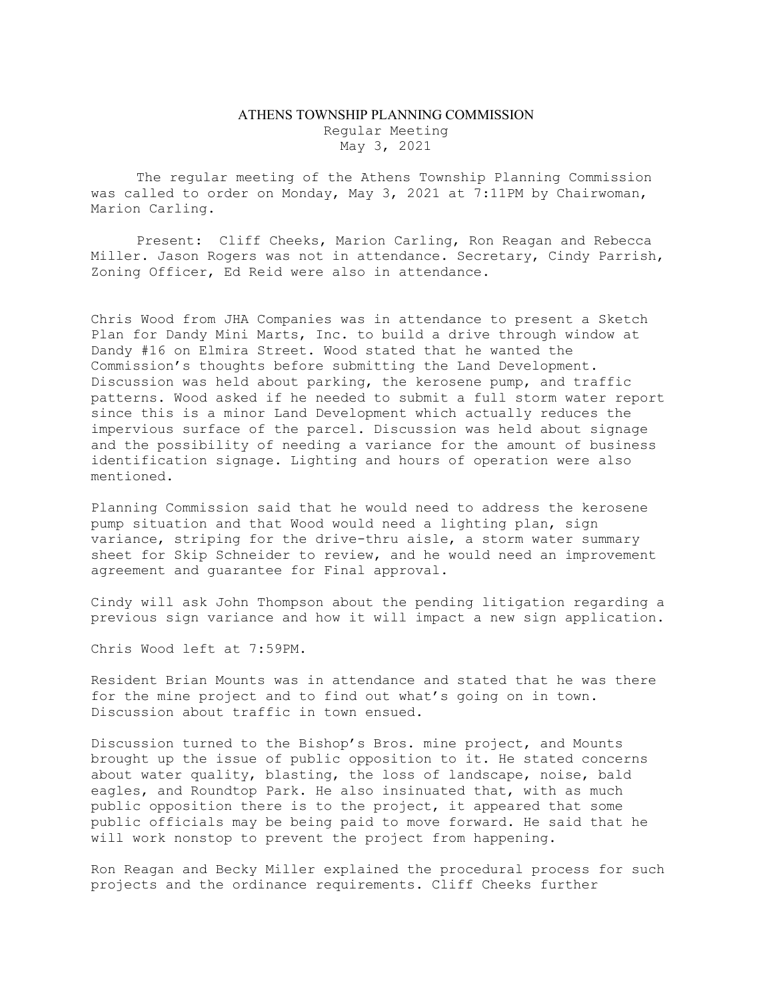## ATHENS TOWNSHIP PLANNING COMMISSION Regular Meeting May 3, 2021

The regular meeting of the Athens Township Planning Commission was called to order on Monday, May 3, 2021 at 7:11PM by Chairwoman, Marion Carling.

Present: Cliff Cheeks, Marion Carling, Ron Reagan and Rebecca Miller. Jason Rogers was not in attendance. Secretary, Cindy Parrish, Zoning Officer, Ed Reid were also in attendance.

Chris Wood from JHA Companies was in attendance to present a Sketch Plan for Dandy Mini Marts, Inc. to build a drive through window at Dandy #16 on Elmira Street. Wood stated that he wanted the Commission's thoughts before submitting the Land Development. Discussion was held about parking, the kerosene pump, and traffic patterns. Wood asked if he needed to submit a full storm water report since this is a minor Land Development which actually reduces the impervious surface of the parcel. Discussion was held about signage and the possibility of needing a variance for the amount of business identification signage. Lighting and hours of operation were also mentioned.

Planning Commission said that he would need to address the kerosene pump situation and that Wood would need a lighting plan, sign variance, striping for the drive-thru aisle, a storm water summary sheet for Skip Schneider to review, and he would need an improvement agreement and guarantee for Final approval.

Cindy will ask John Thompson about the pending litigation regarding a previous sign variance and how it will impact a new sign application.

Chris Wood left at 7:59PM.

Resident Brian Mounts was in attendance and stated that he was there for the mine project and to find out what's going on in town. Discussion about traffic in town ensued.

Discussion turned to the Bishop's Bros. mine project, and Mounts brought up the issue of public opposition to it. He stated concerns about water quality, blasting, the loss of landscape, noise, bald eagles, and Roundtop Park. He also insinuated that, with as much public opposition there is to the project, it appeared that some public officials may be being paid to move forward. He said that he will work nonstop to prevent the project from happening.

Ron Reagan and Becky Miller explained the procedural process for such projects and the ordinance requirements. Cliff Cheeks further